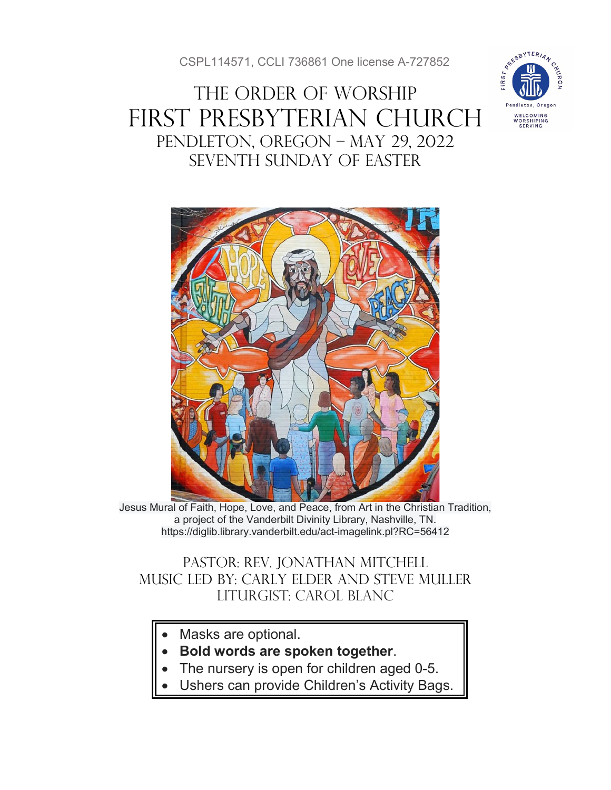CSPL114571, CCLI 736861 One license A-727852

# THE ORDER OF WORSHIP First Presbyterian Church Pendleton, Oregon – May 29, 2022 SEventh SUNDAY of Easter





Jesus Mural of Faith, Hope, Love, and Peace, from Art in the Christian Tradition, a project of the Vanderbilt Divinity Library, Nashville, TN. https://diglib.library.vanderbilt.edu/act-imagelink.pl?RC=56412

### Pastor: Rev. Jonathan Mitchell Music Led by: Carly Elder and Steve muller Liturgist: Carol Blanc

- Masks are optional.
- **Bold words are spoken together**.
- The nursery is open for children aged 0-5.
- Ushers can provide Children's Activity Bags.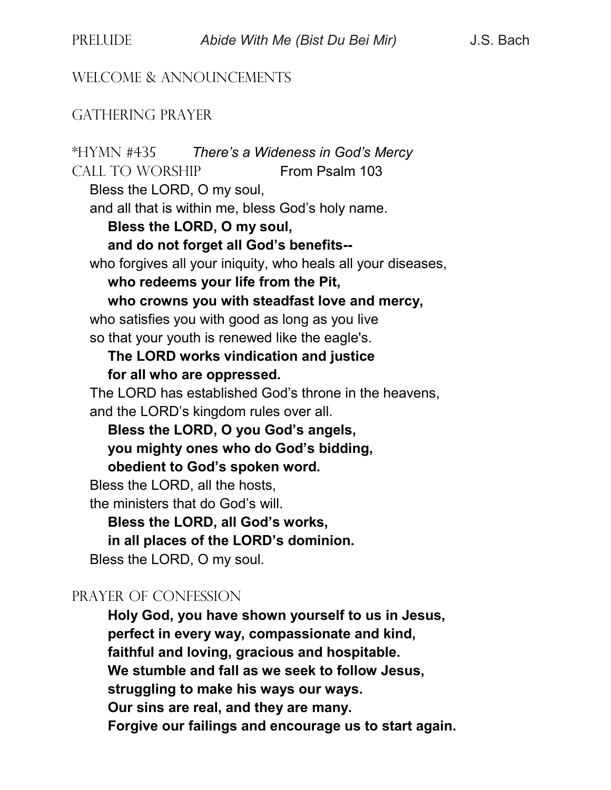#### WELCOME & ANNOUNCEMENTS

#### GATHERING PRAYER

\*HYMN #435 *There's a Wideness in God's Mercy* CALL TO WORSHIP From Psalm 103 Bless the LORD, O my soul, and all that is within me, bless God's holy name. **Bless the LORD, O my soul, and do not forget all God's benefits-** who forgives all your iniquity, who heals all your diseases, **who redeems your life from the Pit, who crowns you with steadfast love and mercy,** who satisfies you with good as long as you live so that your youth is renewed like the eagle's. **The LORD works vindication and justice for all who are oppressed.** The LORD has established God's throne in the heavens, and the LORD's kingdom rules over all. **Bless the LORD, O you God's angels, you mighty ones who do God's bidding, obedient to God's spoken word.** Bless the LORD, all the hosts, the ministers that do God's will. **Bless the LORD, all God's works, in all places of the LORD's dominion.** Bless the LORD, O my soul. PRAYER OF CONFESSION **Holy God, you have shown yourself to us in Jesus, perfect in every way, compassionate and kind, faithful and loving, gracious and hospitable. We stumble and fall as we seek to follow Jesus, struggling to make his ways our ways. Our sins are real, and they are many. Forgive our failings and encourage us to start again.**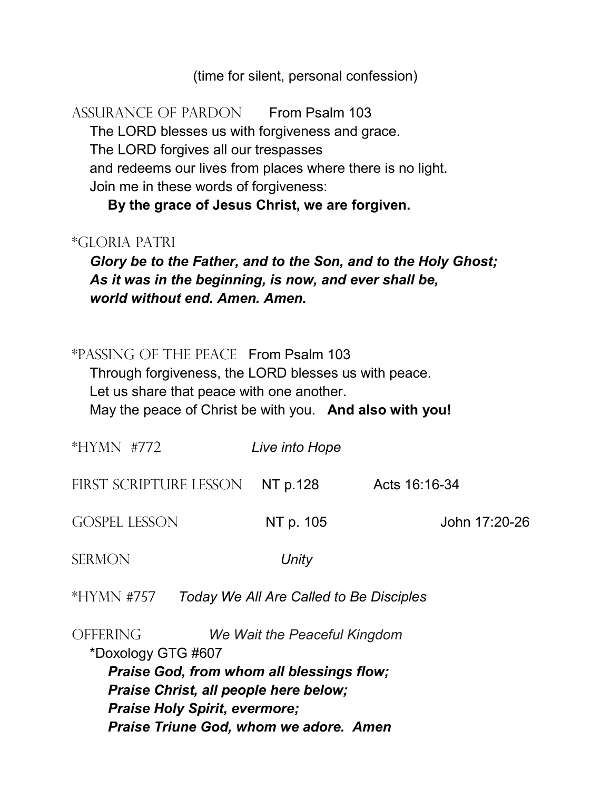(time for silent, personal confession)

ASSURANCE OF PARDON From Psalm 103 The LORD blesses us with forgiveness and grace. The LORD forgives all our trespasses and redeems our lives from places where there is no light.

Join me in these words of forgiveness:

**By the grace of Jesus Christ, we are forgiven.**

#### \*GLORIA PATRI

*Glory be to the Father, and to the Son, and to the Holy Ghost; As it was in the beginning, is now, and ever shall be, world without end. Amen. Amen.*

#### \*PASSING OF THE PEACE From Psalm 103

Through forgiveness, the LORD blesses us with peace. Let us share that peace with one another. May the peace of Christ be with you. **And also with you!**

| *HYMN #772                                            | Live into Hope |               |
|-------------------------------------------------------|----------------|---------------|
| FIRST SCRIPTURE LESSON                                | NT p.128       | Acts 16:16-34 |
| <b>GOSPEL LESSON</b>                                  | NT p. 105      | John 17:20-26 |
| SERMON                                                | Unity          |               |
| Today We All Are Called to Be Disciples<br>*HYMN #757 |                |               |

OFFERING *We Wait the Peaceful Kingdom* \*Doxology GTG #607 *Praise God, from whom all blessings flow; Praise Christ, all people here below; Praise Holy Spirit, evermore; Praise Triune God, whom we adore. Amen*